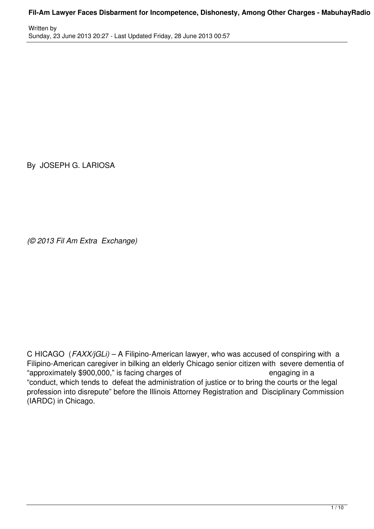Written by Sunday, 23 June 2013 20:27 - Last Updated Friday, 28 June 2013 00:57

By JOSEPH G. LARIOSA

*(© 2013 Fil Am Extra Exchange)*

C HICAGO (*FAXX/jGLi)* – A Filipino-American lawyer, who was accused of conspiring with a Filipino-American caregiver in bilking an elderly Chicago senior citizen with severe dementia of "approximately \$900,000," is facing charges of *engaging* in a "conduct, which tends to defeat the administration of justice or to bring the courts or the legal profession into disrepute" before the Illinois Attorney Registration and Disciplinary Commission (IARDC) in Chicago.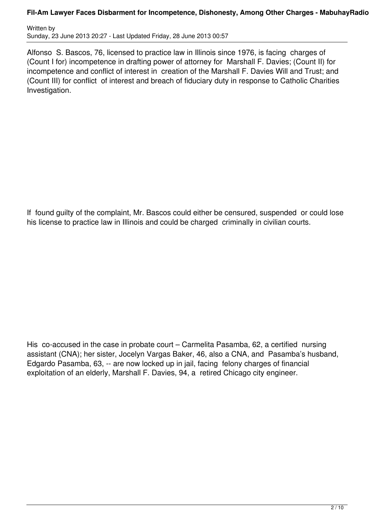Written by Sunday, 23 June 2013 20:27 - Last Updated Friday, 28 June 2013 00:57

Alfonso S. Bascos, 76, licensed to practice law in Illinois since 1976, is facing charges of (Count I for) incompetence in drafting power of attorney for Marshall F. Davies; (Count II) for incompetence and conflict of interest in creation of the Marshall F. Davies Will and Trust; and (Count III) for conflict of interest and breach of fiduciary duty in response to Catholic Charities Investigation.

If found guilty of the complaint, Mr. Bascos could either be censured, suspended or could lose his license to practice law in Illinois and could be charged criminally in civilian courts.

His co-accused in the case in probate court – Carmelita Pasamba, 62, a certified nursing assistant (CNA); her sister, Jocelyn Vargas Baker, 46, also a CNA, and Pasamba's husband, Edgardo Pasamba, 63, -- are now locked up in jail, facing felony charges of financial exploitation of an elderly, Marshall F. Davies, 94, a retired Chicago city engineer.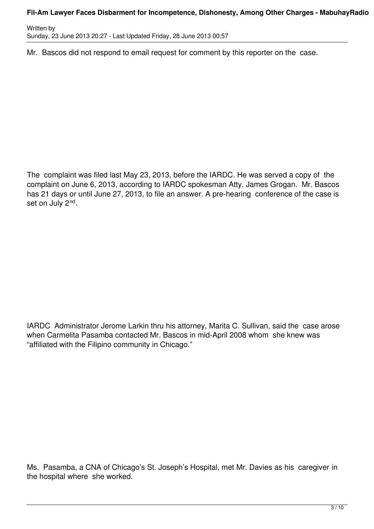Written by Sunday, 23 June 2013 20:27 - Last Updated Friday, 28 June 2013 00:57

Mr. Bascos did not respond to email request for comment by this reporter on the case.

The complaint was filed last May 23, 2013, before the IARDC. He was served a copy of the complaint on June 6, 2013, according to IARDC spokesman Atty. James Grogan. Mr. Bascos has 21 days or until June 27, 2013, to file an answer. A pre-hearing conference of the case is set on July 2<sup>nd</sup>.

IARDC Administrator Jerome Larkin thru his attorney, Marita C. Sullivan, said the case arose when Carmelita Pasamba contacted Mr. Bascos in mid-April 2008 whom she knew was "affiliated with the Filipino community in Chicago."

Ms. Pasamba, a CNA of Chicago's St. Joseph's Hospital, met Mr. Davies as his caregiver in the hospital where she worked.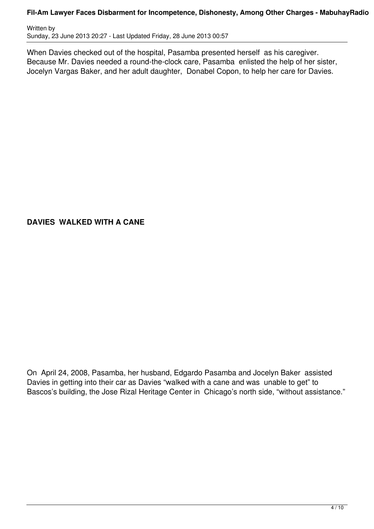Written by Sunday, 23 June 2013 20:27 - Last Updated Friday, 28 June 2013 00:57

When Davies checked out of the hospital, Pasamba presented herself as his caregiver. Because Mr. Davies needed a round-the-clock care, Pasamba enlisted the help of her sister, Jocelyn Vargas Baker, and her adult daughter, Donabel Copon, to help her care for Davies.

# **DAVIES WALKED WITH A CANE**

On April 24, 2008, Pasamba, her husband, Edgardo Pasamba and Jocelyn Baker assisted Davies in getting into their car as Davies "walked with a cane and was unable to get" to Bascos's building, the Jose Rizal Heritage Center in Chicago's north side, "without assistance."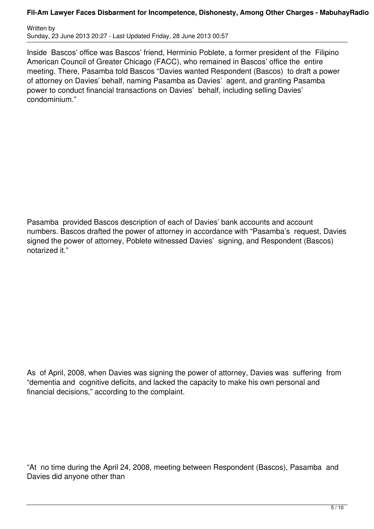Written by Sunday, 23 June 2013 20:27 - Last Updated Friday, 28 June 2013 00:57

Inside Bascos' office was Bascos' friend, Herminio Poblete, a former president of the Filipino American Council of Greater Chicago (FACC), who remained in Bascos' office the entire meeting. There, Pasamba told Bascos "Davies wanted Respondent (Bascos) to draft a power of attorney on Davies' behalf, naming Pasamba as Davies' agent, and granting Pasamba power to conduct financial transactions on Davies' behalf, including selling Davies' condominium."

Pasamba provided Bascos description of each of Davies' bank accounts and account numbers. Bascos drafted the power of attorney in accordance with "Pasamba's request, Davies signed the power of attorney, Poblete witnessed Davies' signing, and Respondent (Bascos) notarized it."

As of April, 2008, when Davies was signing the power of attorney, Davies was suffering from "dementia and cognitive deficits, and lacked the capacity to make his own personal and financial decisions," according to the complaint.

"At no time during the April 24, 2008, meeting between Respondent (Bascos), Pasamba and Davies did anyone other than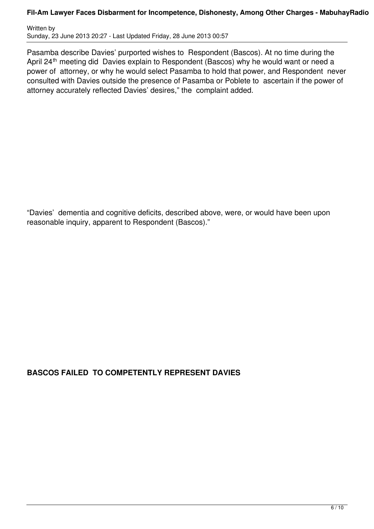Written by Sunday, 23 June 2013 20:27 - Last Updated Friday, 28 June 2013 00:57

Pasamba describe Davies' purported wishes to Respondent (Bascos). At no time during the April 24<sup>th</sup> meeting did Davies explain to Respondent (Bascos) why he would want or need a power of attorney, or why he would select Pasamba to hold that power, and Respondent never consulted with Davies outside the presence of Pasamba or Poblete to ascertain if the power of attorney accurately reflected Davies' desires," the complaint added.

"Davies' dementia and cognitive deficits, described above, were, or would have been upon reasonable inquiry, apparent to Respondent (Bascos)."

# **BASCOS FAILED TO COMPETENTLY REPRESENT DAVIES**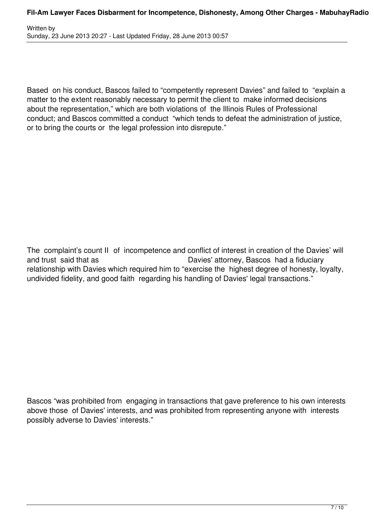Based on his conduct, Bascos failed to "competently represent Davies" and failed to "explain a matter to the extent reasonably necessary to permit the client to make informed decisions about the representation," which are both violations of the Illinois Rules of Professional conduct; and Bascos committed a conduct "which tends to defeat the administration of justice, or to bring the courts or the legal profession into disrepute."

The complaint's count II of incompetence and conflict of interest in creation of the Davies' will and trust said that as Davies' attorney, Bascos had a fiduciary relationship with Davies which required him to "exercise the highest degree of honesty, loyalty, undivided fidelity, and good faith regarding his handling of Davies' legal transactions."

Bascos "was prohibited from engaging in transactions that gave preference to his own interests above those of Davies' interests, and was prohibited from representing anyone with interests possibly adverse to Davies' interests."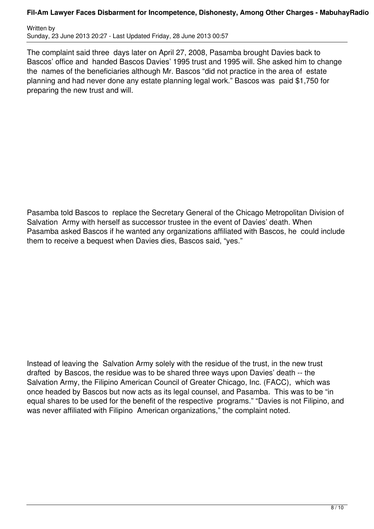Written by Sunday, 23 June 2013 20:27 - Last Updated Friday, 28 June 2013 00:57

The complaint said three days later on April 27, 2008, Pasamba brought Davies back to Bascos' office and handed Bascos Davies' 1995 trust and 1995 will. She asked him to change the names of the beneficiaries although Mr. Bascos "did not practice in the area of estate planning and had never done any estate planning legal work." Bascos was paid \$1,750 for preparing the new trust and will.

Pasamba told Bascos to replace the Secretary General of the Chicago Metropolitan Division of Salvation Army with herself as successor trustee in the event of Davies' death. When Pasamba asked Bascos if he wanted any organizations affiliated with Bascos, he could include them to receive a bequest when Davies dies, Bascos said, "yes."

Instead of leaving the Salvation Army solely with the residue of the trust, in the new trust drafted by Bascos, the residue was to be shared three ways upon Davies' death -- the Salvation Army, the Filipino American Council of Greater Chicago, Inc. (FACC), which was once headed by Bascos but now acts as its legal counsel, and Pasamba. This was to be "in equal shares to be used for the benefit of the respective programs." "Davies is not Filipino, and was never affiliated with Filipino American organizations," the complaint noted.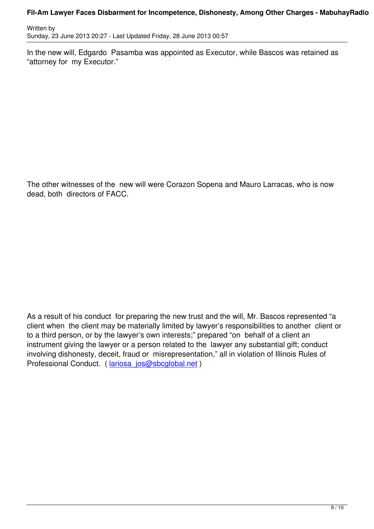In the new will, Edgardo Pasamba was appointed as Executor, while Bascos was retained as "attorney for my Executor."

The other witnesses of the new will were Corazon Sopena and Mauro Larracas, who is now dead, both directors of FACC.

As a result of his conduct for preparing the new trust and the will, Mr. Bascos represented "a client when the client may be materially limited by lawyer's responsibilities to another client or to a third person, or by the lawyer's own interests;" prepared "on behalf of a client an instrument giving the lawyer or a person related to the lawyer any substantial gift; conduct involving dishonesty, deceit, fraud or misrepresentation," all in violation of Illinois Rules of Professional Conduct. ( lariosa jos@sbcglobal.net )